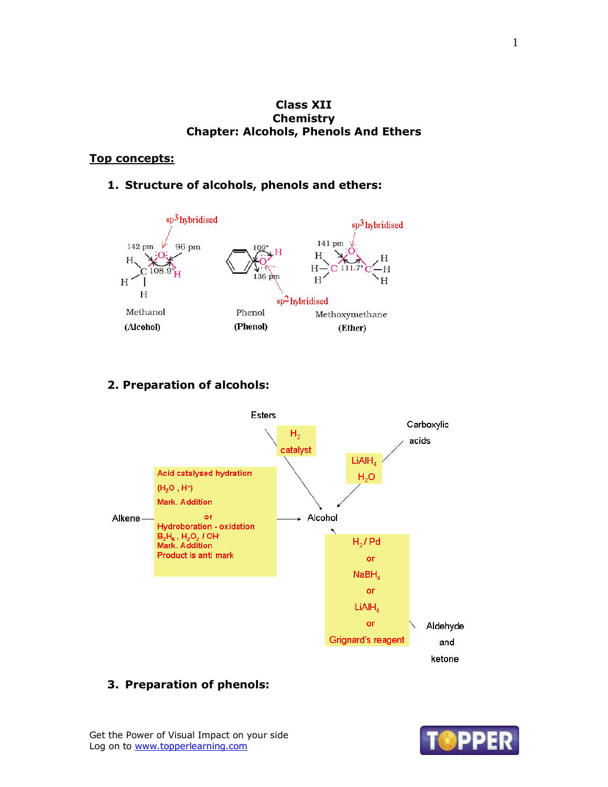### **Class XII Chemistry Chapter: Alcohols, Phenols And Ethers**

## **Top concepts:**

## **1. Structure of alcohols, phenols and ethers:**



## **2. Preparation of alcohols:**



## **3. Preparation of phenols:**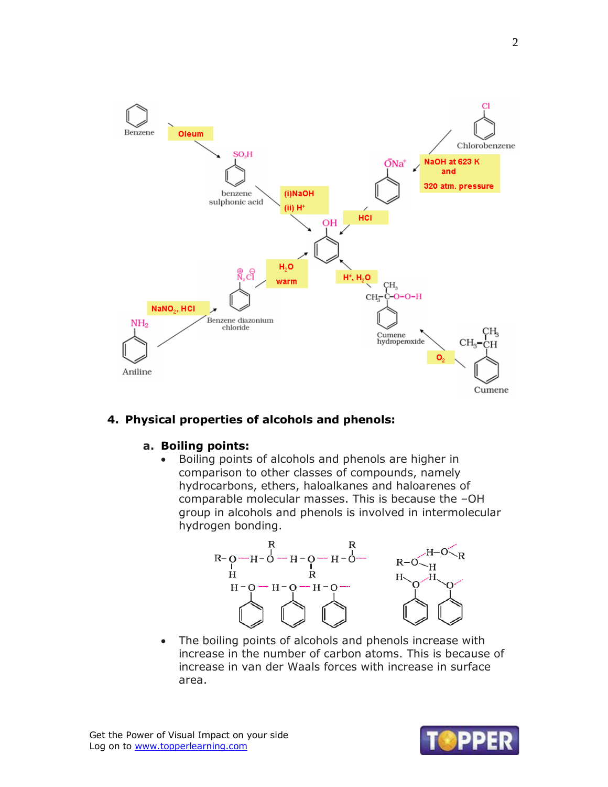

## **4. Physical properties of alcohols and phenols:**

#### **a. Boiling points:**

 Boiling points of alcohols and phenols are higher in comparison to other classes of compounds, namely hydrocarbons, ethers, haloalkanes and haloarenes of comparable molecular masses. This is because the –OH group in alcohols and phenols is involved in intermolecular hydrogen bonding.



 The boiling points of alcohols and phenols increase with increase in the number of carbon atoms. This is because of increase in van der Waals forces with increase in surface area.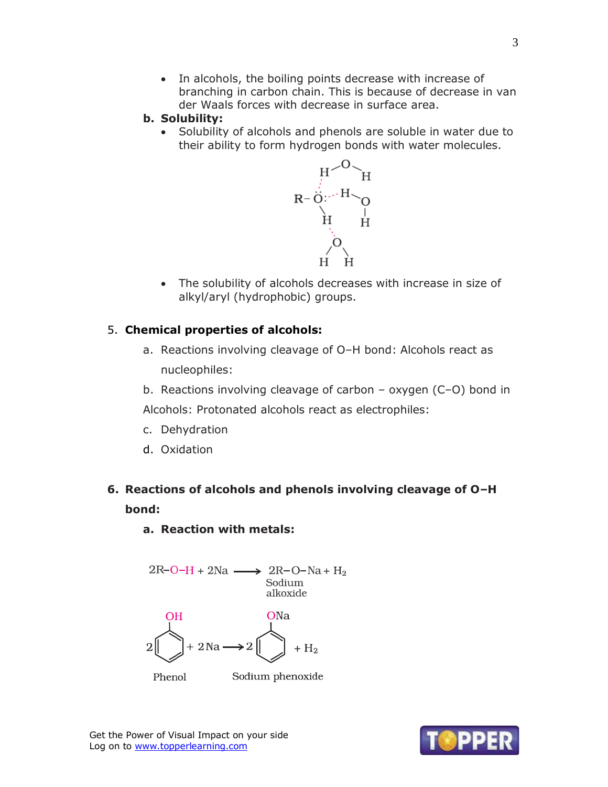In alcohols, the boiling points decrease with increase of branching in carbon chain. This is because of decrease in van der Waals forces with decrease in surface area.

#### **b. Solubility:**

• Solubility of alcohols and phenols are soluble in water due to their ability to form hydrogen bonds with water molecules.



 The solubility of alcohols decreases with increase in size of alkyl/aryl (hydrophobic) groups.

### 5. **Chemical properties of alcohols:**

- a. Reactions involving cleavage of O–H bond: Alcohols react as nucleophiles:
- b. Reactions involving cleavage of carbon oxygen (C–O) bond in

Alcohols: Protonated alcohols react as electrophiles:

- c. Dehydration
- d. Oxidation

# **6. Reactions of alcohols and phenols involving cleavage of O–H bond:**

#### **a. Reaction with metals:**



Sodium phenoxide

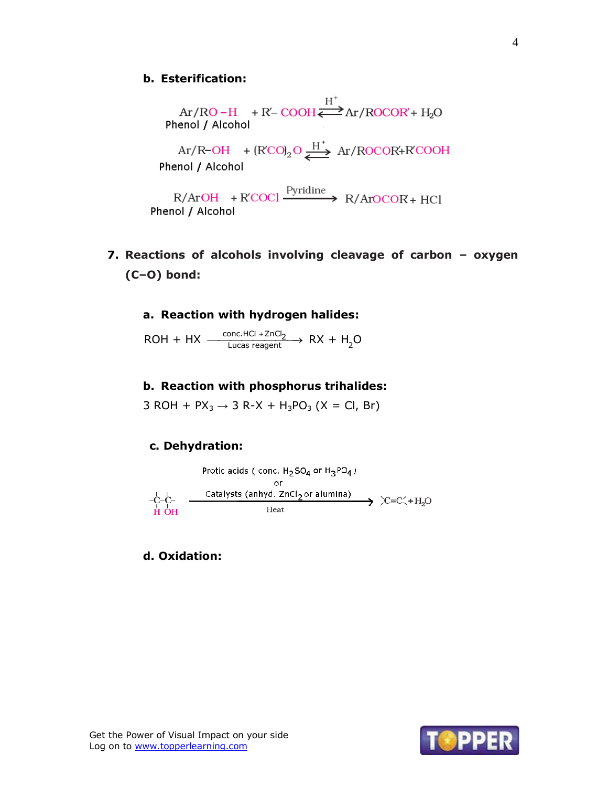**b. Esterification:**<br>Ar/RO-H + R'- COOH $\overleftrightarrow{ }$ Ar/ROCOR'+ H<sub>2</sub>O<br>Phenol / Alcohol

 $Ar/R-OH$  +  $(RCO)_2O \xrightarrow{H^+} Ar/ROCOR+R'COOH$ Phenol / Alcohol

 $\text{R/ArOH} \quad + \text{R'COCl} \xrightarrow{\text{Pyridine}} \text{R/ArOCOR} + \text{HCl}$ Phenol / Alcohol

**7. Reactions of alcohols involving cleavage of carbon – oxygen (C–O) bond:**

#### **a. Reaction with hydrogen halides:**

a. Reaction with hydrogen hanges:<br>ROH + HX  $\frac{\text{conc. HCl} + ZnCl_2}{\text{Lucas reagent}}$  RX + H<sub>2</sub>O

#### **b. Reaction with phosphorus trihalides:**

3 ROH +  $PX_3 \rightarrow 3$  R-X +  $H_3PO_3$  (X = Cl, Br)

#### **c. Dehydration:**



**d. Oxidation:**

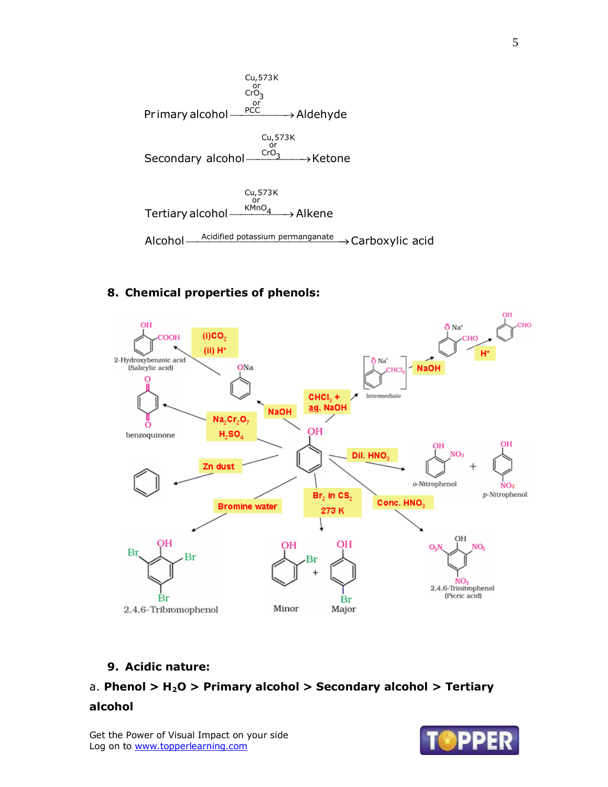

## **8. Chemical properties of phenols:**



## **9. Acidic nature:**

## a. **Phenol > H2O > Primary alcohol > Secondary alcohol > Tertiary**

#### **alcohol**

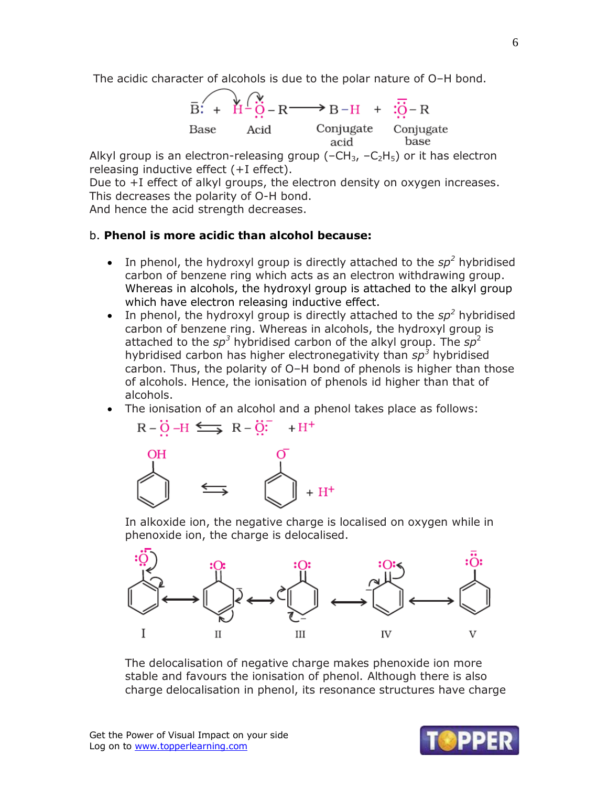The acidic character of alcohols is due to the polar nature of O–H bond.

$$
\overline{B}: + \overleftrightarrow{H} - \overleftrightarrow{O} - R \longrightarrow B - H + \overleftrightarrow{O} - R
$$
\nBase

\nAcid

\nConjugate

\nConjugate

\nConjugate

\nbase

\nbase

\naccid

\nbase

Alkyl group is an electron-releasing group  $(-CH_3, -C_2H_5)$  or it has electron releasing inductive effect (+I effect).

Due to +I effect of alkyl groups, the electron density on oxygen increases. This decreases the polarity of O-H bond.

And hence the acid strength decreases.

#### b. **Phenol is more acidic than alcohol because:**

- In phenol, the hydroxyl group is directly attached to the  $sp^2$  hybridised carbon of benzene ring which acts as an electron withdrawing group. Whereas in alcohols, the hydroxyl group is attached to the alkyl group which have electron releasing inductive effect.
- In phenol, the hydroxyl group is directly attached to the  $sp^2$  hybridised carbon of benzene ring. Whereas in alcohols, the hydroxyl group is attached to the *sp<sup>3</sup>* hybridised carbon of the alkyl group. The *sp*<sup>2</sup> hybridised carbon has higher electronegativity than *sp<sup>3</sup>* hybridised carbon. Thus, the polarity of O–H bond of phenols is higher than those of alcohols. Hence, the ionisation of phenols id higher than that of alcohols.
- The ionisation of an alcohol and a phenol takes place as follows:

 $\overline{u}$ 

$$
\begin{array}{ccc}\n\stackrel{\text{OH}}{\longrightarrow} & \stackrel{\text{O}}{\longrightarrow} & \stackrel{\text{O}}{\longrightarrow} & \stackrel{\text{H}}{\longrightarrow} \\
& & \stackrel{\text{OH}}{\longrightarrow} & \stackrel{\text{O}}{\longrightarrow} & \\
& & \stackrel{\text{O}}{\longrightarrow} & \\
& & & \stackrel{\text{O}}{\longrightarrow} & \\
& & & & \stackrel{\text{O}}{\longrightarrow} & \\
& & & & & \stackrel{\text{O}}{\longrightarrow} & \\
& & & & & & \stackrel{\text{O}}{\longrightarrow} & \\
& & & & & & & \stackrel{\text{O}}{\longrightarrow} & \\
& & & & & & & \stackrel{\text{O}}{\longrightarrow} & \\
& & & & & & & & \stackrel{\text{O}}{\longrightarrow} & \\
& & & & & & & & \stackrel{\text{O}}{\longrightarrow} & \\
& & & & & & & & & \stackrel{\text{O}}{\longrightarrow} & \\
& & & & & & & & & \stackrel{\text{O}}{\longrightarrow} & \\
& & & & & & & & & \stackrel{\text{O}}{\longrightarrow} & \\
& & & & & & & & & & \stackrel{\text{O}}{\longrightarrow} & \\
& & & & & & & & & & \stackrel{\text{O}}{\longrightarrow} & \\
& & & & & & & & & & \stackrel{\text{O}}{\longrightarrow} & \\
& & & & & & & & & & \stackrel{\text{O}}{\longrightarrow} & \\
& & & & & & & & & & \stackrel{\text{O}}{\longrightarrow} & \\
& & & & & & & & & & & \stackrel{\text{O}}{\longrightarrow} & \\
& & & & & & & & & & & \stackrel{\text{O}}{\longrightarrow} & \\
& & & & & & & & & & & \stackrel{\text{O}}{\longrightarrow} & \\
& & & & & & & & & & & \stackrel{\text{O}}{\longrightarrow} & \\
& & & & & & & & & & & \stackrel{\text{O}}{\longrightarrow} & \\
& & & & & & & & & & & & \stackrel{\text{O}}{\longrightarrow} & \\
& & & & & & & & & & & & \stackrel{\text{O}}{\longrightarrow} & \\
& & & & & & & & & & & & \stackrel{\text{O}}{\longrightarrow} & \\
& & & & & & & & & & & & \stackrel{\text{O}}{\longrightarrow} & \\
& & & & & & & & & & & & \stackrel{\text{O}}{\longrightarrow} & \\
& & & & & & & & & & & & \stackrel{\text{O}}{\longrightarrow} & \\
& & & & & & & & & & & & \stackrel{\text{O}}{\longrightarrow} & \\
& & & & & & & & & & & & \stackrel{\text{O}}{\longrightarrow} & \\
& & & & & & & & &
$$

 $\overline{p}$   $\overline{q}$   $\overline{u}$   $\overline{u}$   $\overline{p}$   $\overline{q}$   $\overline{q}$   $\overline{u}$ 

In alkoxide ion, the negative charge is localised on oxygen while in phenoxide ion, the charge is delocalised.



The delocalisation of negative charge makes phenoxide ion more stable and favours the ionisation of phenol. Although there is also charge delocalisation in phenol, its resonance structures have charge

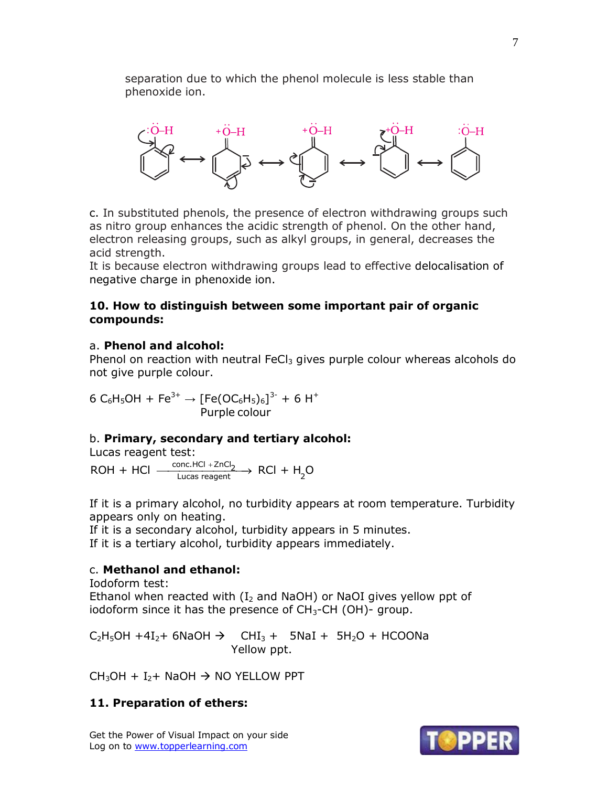separation due to which the phenol molecule is less stable than phenoxide ion.



c. In substituted phenols, the presence of electron withdrawing groups such as nitro group enhances the acidic strength of phenol. On the other hand, electron releasing groups, such as alkyl groups, in general, decreases the acid strength.

It is because electron withdrawing groups lead to effective delocalisation of negative charge in phenoxide ion.

## **10. How to distinguish between some important pair of organic compounds:**

## a. **Phenol and alcohol:**

Phenol on reaction with neutral FeCl<sub>3</sub> gives purple colour whereas alcohols do not give purple colour.

 $6 \text{ C}_6\text{H}_5\text{OH} + \text{Fe}^{3+} \rightarrow \text{[Fe(OC}_6\text{H}_5)_6]^{3-} + 6 \text{ H}^+$ Purple colour

## b. **Primary, secondary and tertiary alcohol:**

Lucas reagent test: Lucas reagent test:<br>ROH + HCl  $\xrightarrow[\text{Lucas reagent}]{\text{conc.HCl + ZnCl}_2}$  RCl + H<sub>2</sub>O

If it is a primary alcohol, no turbidity appears at room temperature. Turbidity appears only on heating.

If it is a secondary alcohol, turbidity appears in 5 minutes. If it is a tertiary alcohol, turbidity appears immediately.

## c. **Methanol and ethanol:**

Iodoform test: Ethanol when reacted with  $(I_2$  and NaOH) or NaOI gives yellow ppt of iodoform since it has the presence of  $CH_3$ -CH (OH)- group.

 $C_2H_5OH + 4I_2 + 6NaOH \rightarrow CHI_3 + 5NaI + 5H_2O + HCOONa$ Yellow ppt.

 $CH_3OH + I_2 + NaOH \rightarrow NO YELLOW PPT$ 

## **11. Preparation of ethers:**

Get the Power of Visual Impact on your side Log on to www.topperlearning.com



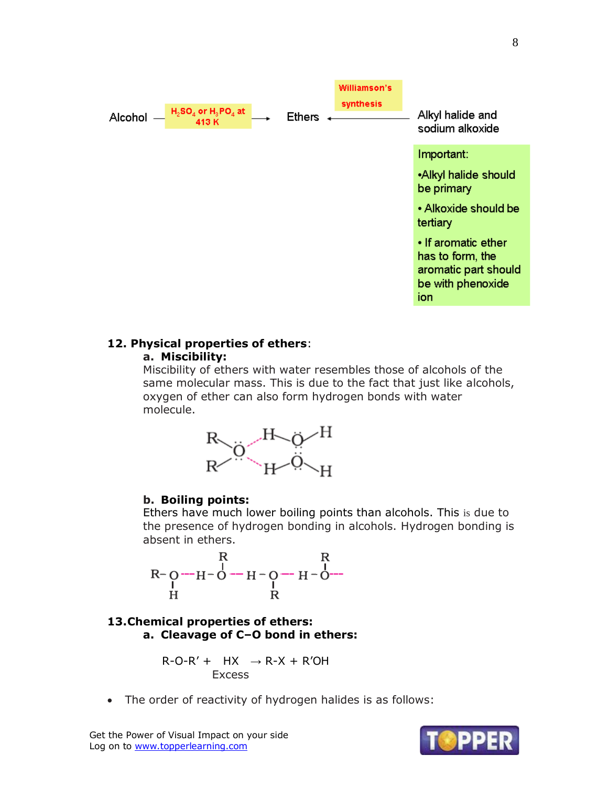

# **12. Physical properties of ethers**:

### **a. Miscibility:**

Miscibility of ethers with water resembles those of alcohols of the same molecular mass. This is due to the fact that just like alcohols, oxygen of ether can also form hydrogen bonds with water molecule.



## **b. Boiling points:**

Ethers have much lower boiling points than alcohols. This is due to the presence of hydrogen bonding in alcohols. Hydrogen bonding is absent in ethers.

## **13.Chemical properties of ethers: a. Cleavage of C–O bond in ethers:**

$$
R-O-R' + HX \rightarrow R-X + R'OH
$$
  
Excess

The order of reactivity of hydrogen halides is as follows:

Get the Power of Visual Impact on your side Log on to www.topperlearning.com

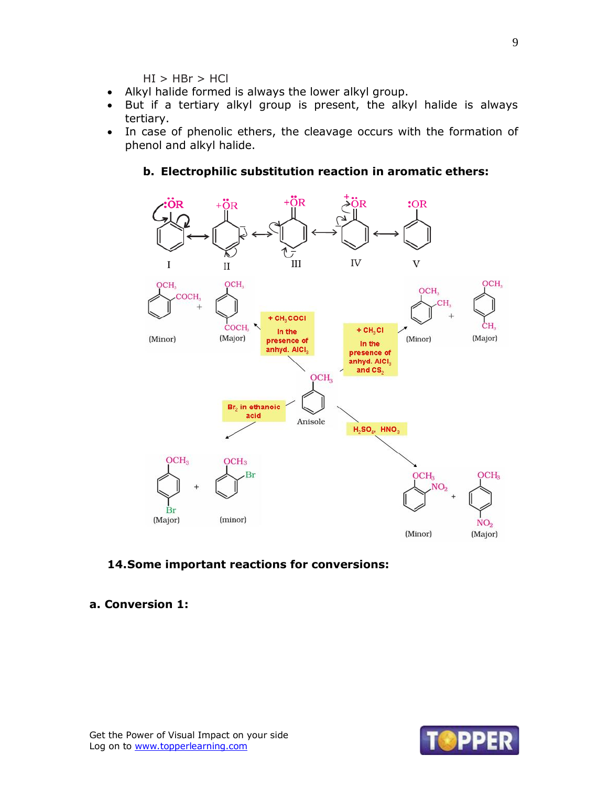$HI$  >  $HBr$  >  $HCl$ 

- Alkyl halide formed is always the lower alkyl group.
- But if a tertiary alkyl group is present, the alkyl halide is always tertiary.
- In case of phenolic ethers, the cleavage occurs with the formation of phenol and alkyl halide.

## **b. Electrophilic substitution reaction in aromatic ethers:**



#### **14.Some important reactions for conversions:**

#### **a. Conversion 1:**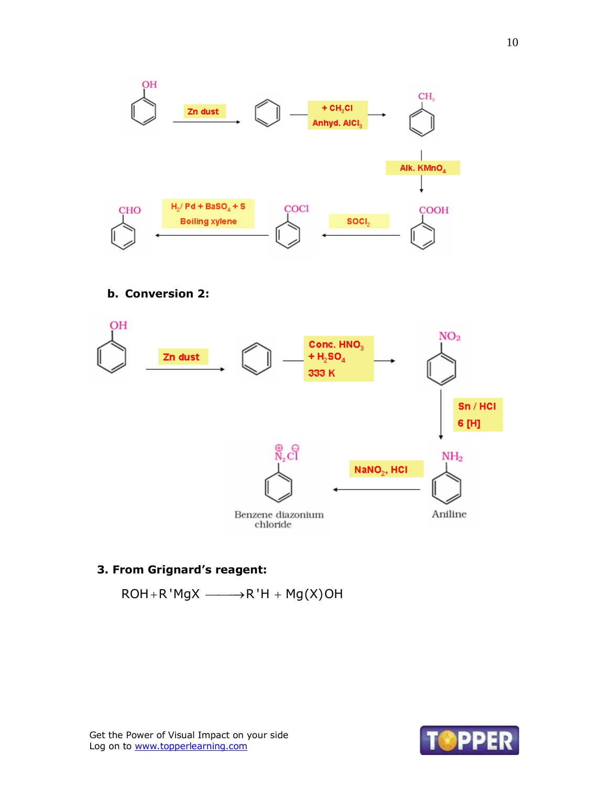

## **b. Conversion 2:**



## **3. From Grignard's reagent:**

 $ROH + R'MgX \longrightarrow R'H + Mg(X)OH$